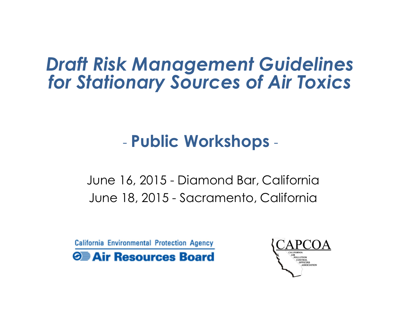#### *Draft Risk Management Guidelines for Stationary Sources of Air Toxics*

#### - **Public Workshops** -

June 16, 2015 - Diamond Bar, California June 18, 2015 - Sacramento, California

**California Environmental Protection Agency O** Air Resources Board

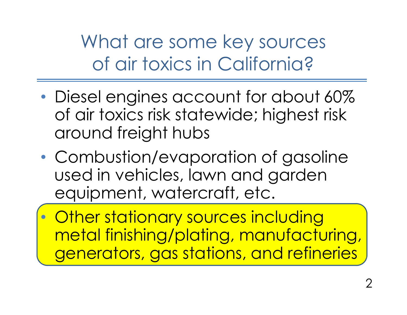What are some key sources of air toxics in California?

- Diesel engines account for about 60% of air toxics risk statewide; highest risk around freight hubs
- Combustion/evaporation of gasoline used in vehicles, lawn and garden equipment, watercraft, etc.

• Other stationary sources including metal finishing/plating, manufacturing, generators, gas stations, and refineries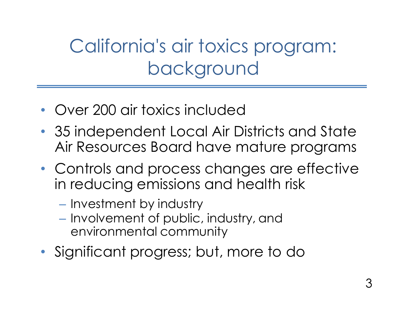# California's air toxics program: background

- Over 200 air toxics included
- 35 independent Local Air Districts and State Air Resources Board have mature programs
- Controls and process changes are effective in reducing emissions and health risk
	- Investment by industry
	- Involvement of public, industry, and environmental community
- Significant progress; but, more to do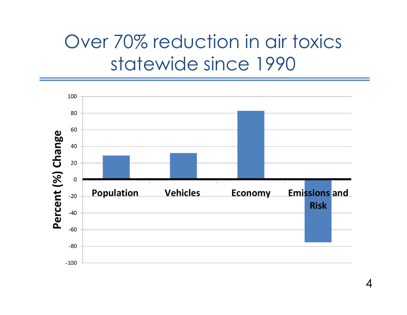### Over 70% reduction in air toxics statewide since 1990

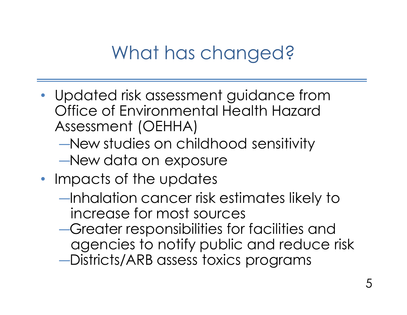#### What has changed?

- Updated risk assessment guidance from Office of Environmental Health Hazard Assessment (OEHHA)
	- ―New studies on childhood sensitivity
	- ―New data on exposure
- Impacts of the updates
	- ―Inhalation cancer risk estimates likely to increase for most sources
	- ―Greater responsibilities for facilities and agencies to notify public and reduce risk
	- ―Districts/ARB assess toxics programs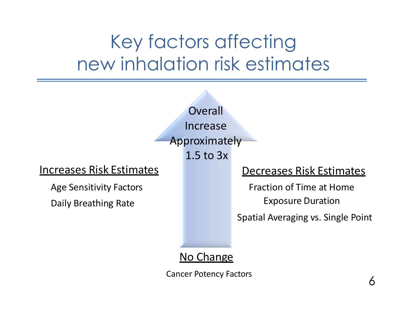# Key factors affecting new inhalation risk estimates



#### Increases Risk Estimates

Age Sensitivity Factors

Daily Breathing Rate

#### Decreases Risk Estimates

Fraction of Time at Home Exposure Duration

Spatial Averaging vs. Single Point

#### No Change

Cancer Potency Factors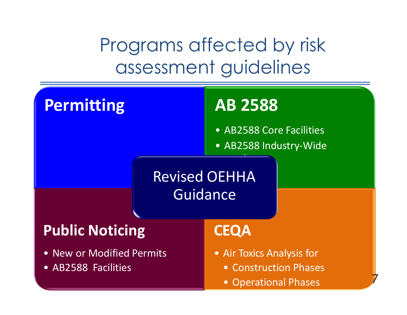Programs affected by risk assessment guidelines

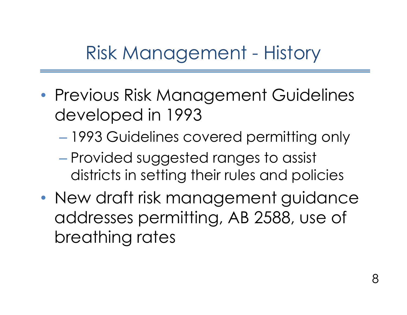Risk Management - History

- Previous Risk Management Guidelines developed in 1993
	- 1993 Guidelines covered permitting only
	- Provided suggested ranges to assist districts in setting their rules and policies
- New draft risk management guidance addresses permitting, AB 2588, use of breathing rates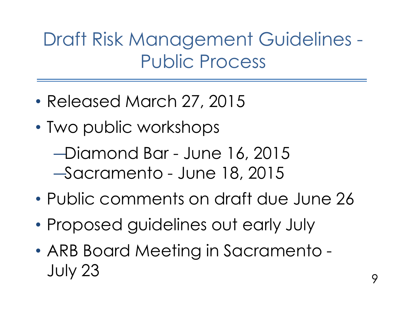Draft Risk Management Guidelines - Public Process

- Released March 27, 2015
- Two public workshops
	- ― Diamond Bar June 16, 2015 ― Sacramento - June 18, 2015
- Public comments on draft due June 26
- Proposed guidelines out early July
- ARB Board Meeting in Sacramento July 23  $\frac{9}{9}$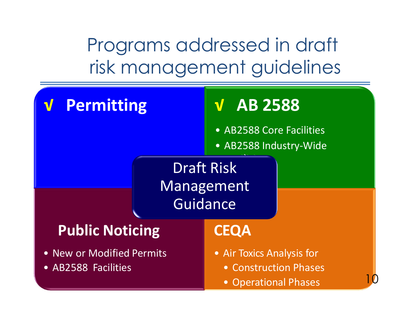Programs addressed in draft risk management guidelines

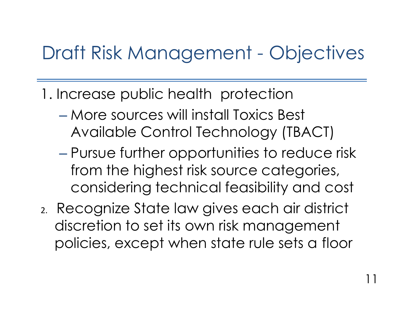### Draft Risk Management - Objectives

- 1. Increase public health protection
	- More sources will install Toxics Best Available Control Technology (TBACT)
	- Pursue further opportunities to reduce risk from the highest risk source categories, considering technical feasibility and cost
- 2. Recognize State law gives each air district discretion to set its own risk management policies, except when state rule sets a floor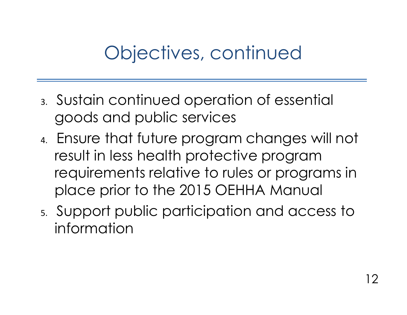### Objectives, continued

- 3. Sustain continued operation of essential goods and public services
- 4. Ensure that future program changes will not result in less health protective program requirements relative to rules or programs in place prior to the 2015 OEHHA Manual
- 5. Support public participation and access to information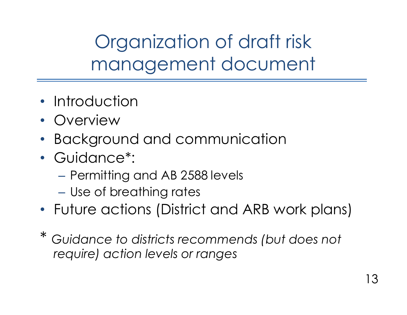Organization of draft risk management document

- Introduction
- Overview
- Background and communication
- Guidance\*:
	- Permitting and AB 2588 levels
	- Use of breathing rates
- Future actions (District and ARB work plans)
- \* *Guidance to districts recommends (but does not require) action levels or ranges*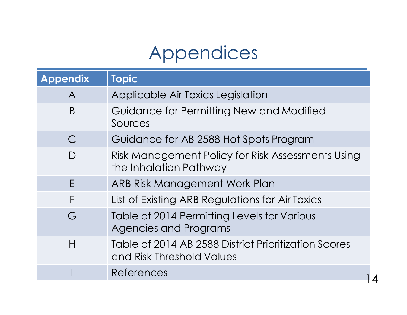### Appendices

| <b>Appendix</b> | <b>Topic</b>                                                                      |  |
|-----------------|-----------------------------------------------------------------------------------|--|
| $\mathsf{A}$    | Applicable Air Toxics Legislation                                                 |  |
| B               | Guidance for Permitting New and Modified<br>Sources                               |  |
| $\subset$       | Guidance for AB 2588 Hot Spots Program                                            |  |
| D               | Risk Management Policy for Risk Assessments Using<br>the Inhalation Pathway       |  |
| Е               | ARB Risk Management Work Plan                                                     |  |
| F               | List of Existing ARB Regulations for Air Toxics                                   |  |
| G               | Table of 2014 Permitting Levels for Various<br>Agencies and Programs              |  |
| H               | Table of 2014 AB 2588 District Prioritization Scores<br>and Risk Threshold Values |  |
|                 | References                                                                        |  |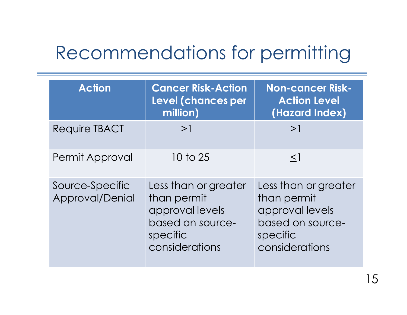#### Recommendations for permitting

| <b>Action</b>                      | <b>Cancer Risk-Action</b><br>Level (chances per<br>million)                                              | <b>Non-cancer Risk-</b><br><b>Action Level</b><br>(Hazard Index)                                         |
|------------------------------------|----------------------------------------------------------------------------------------------------------|----------------------------------------------------------------------------------------------------------|
| <b>Require TBACT</b>               | >1                                                                                                       | >1                                                                                                       |
| Permit Approval                    | 10 to 25                                                                                                 | $\leq$ 1                                                                                                 |
| Source-Specific<br>Approval/Denial | Less than or greater<br>than permit<br>approval levels<br>based on source-<br>specific<br>considerations | Less than or greater<br>than permit<br>approval levels<br>based on source-<br>specific<br>considerations |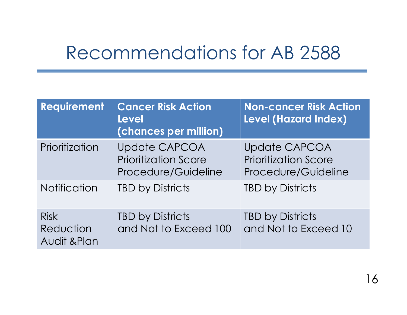#### Recommendations for AB 2588

| Requirement                              | <b>Cancer Risk Action</b><br><b>Level</b><br>(chances per million)         | <b>Non-cancer Risk Action</b><br><b>Level (Hazard Index)</b>               |
|------------------------------------------|----------------------------------------------------------------------------|----------------------------------------------------------------------------|
| Prioritization                           | <b>Update CAPCOA</b><br><b>Prioritization Score</b><br>Procedure/Guideline | <b>Update CAPCOA</b><br><b>Prioritization Score</b><br>Procedure/Guideline |
| <b>Notification</b>                      | <b>TBD by Districts</b>                                                    | <b>TBD by Districts</b>                                                    |
| <b>Risk</b><br>Reduction<br>Audit & Plan | <b>TBD by Districts</b><br>and Not to Exceed 100                           | <b>TBD by Districts</b><br>and Not to Exceed 10                            |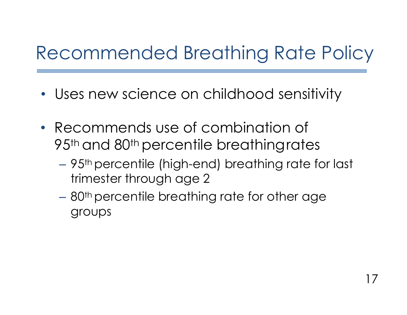## Recommended Breathing Rate Policy

- Uses new science on childhood sensitivity
- Recommends use of combination of 95<sup>th</sup> and 80<sup>th</sup> percentile breathingrates
	- 95th percentile (high-end) breathing rate for last trimester through age 2
	- 80th percentile breathing rate for other age groups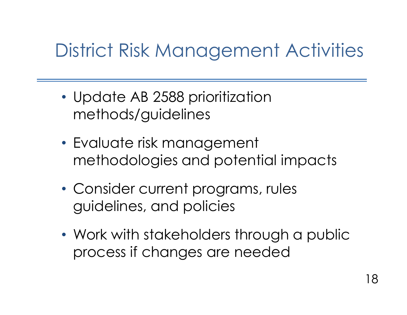# District Risk Management Activities

- Update AB 2588 prioritization methods/guidelines
- Evaluate risk management methodologies and potential impacts
- Consider current programs, rules guidelines, and policies
- Work with stakeholders through a public process if changes are needed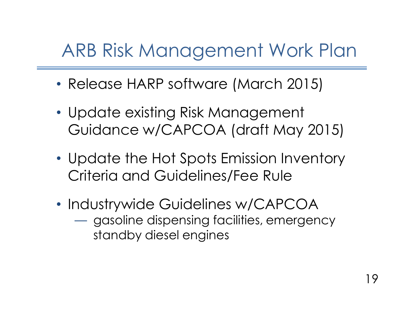### ARB Risk Management Work Plan

- Release HARP software (March 2015)
- Update existing Risk Management Guidance w/CAPCOA (draft May 2015)
- Update the Hot Spots Emission Inventory Criteria and Guidelines/Fee Rule
- Industrywide Guidelines w/CAPCOA — gasoline dispensing facilities, emergency standby diesel engines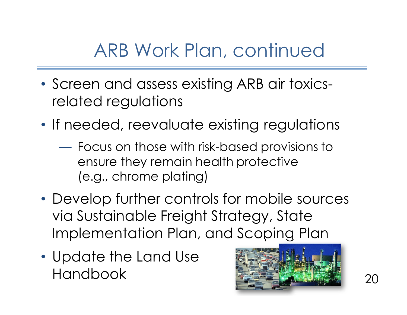### ARB Work Plan, continued

- Screen and assess existing ARB air toxicsrelated regulations
- If needed, reevaluate existing regulations
	- Focus on those with risk-based provisions to ensure they remain health protective (e.g., chrome plating)
- Develop further controls for mobile sources via Sustainable Freight Strategy, State Implementation Plan, and Scoping Plan
- Update the Land Use Handbook Care 19, 20

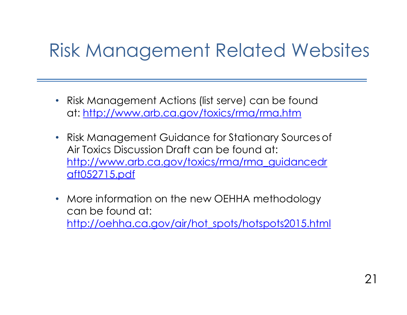#### Risk Management Related Websites

- Risk Management Actions (list serve) can be found at: <http://www.arb.ca.gov/toxics/rma/rma.htm>
- Risk Management Guidance for Stationary Sources of Air Toxics Discussion Draft can be found at: [http://www.arb.ca.gov/toxics/rma/rma\\_guidancedr](http://www.arb.ca.gov/toxics/rma/rma_guidancedr)  aft052715.pdf
- More information on the new OEHHA methodology can be found at: [http://oehha.ca.gov/air/hot\\_spots/hotspots2015.html](http://oehha.ca.gov/air/hot_spots/hotspots2015.html)